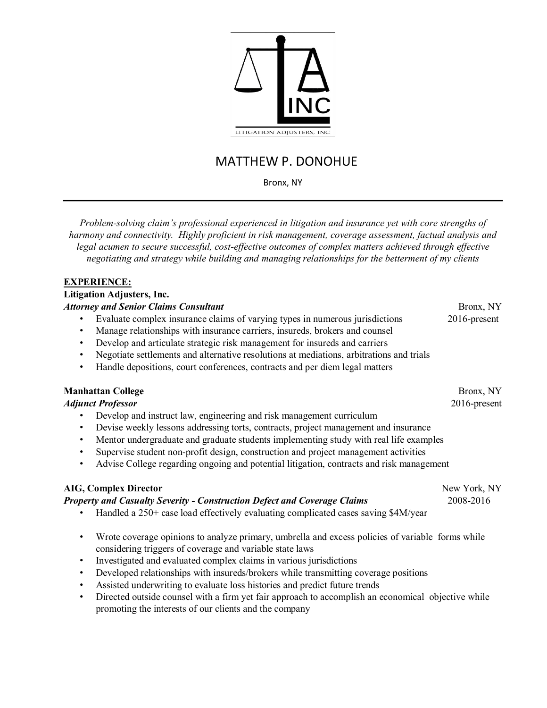

# MATTHEW P. DONOHUE

Bronx, NY

*Problem-solving claim's professional experienced in litigation and insurance yet with core strengths of harmony and connectivity. Highly proficient in risk management, coverage assessment, factual analysis and legal acumen to secure successful, cost-effective outcomes of complex matters achieved through effective negotiating and strategy while building and managing relationships for the betterment of my clients* 

#### **EXPERIENCE:**

#### **Litigation Adjusters, Inc.**  *Attorney and Senior Claims Consultant* **Bronx, NY** Bronx, NY • Evaluate complex insurance claims of varying types in numerous jurisdictions 2016-present Manage relationships with insurance carriers, insureds, brokers and counsel • Develop and articulate strategic risk management for insureds and carriers • Negotiate settlements and alternative resolutions at mediations, arbitrations and trials

• Handle depositions, court conferences, contracts and per diem legal matters

# **Manhattan College** Bronx, NY

# *Adjunct Professor* 2016-present

- Develop and instruct law, engineering and risk management curriculum
- Devise weekly lessons addressing torts, contracts, project management and insurance
- Mentor undergraduate and graduate students implementing study with real life examples
- Supervise student non-profit design, construction and project management activities
- Advise College regarding ongoing and potential litigation, contracts and risk management

# **AIG, Complex Director** *New York, NY*

# *Property and Casualty Severity - Construction Defect and Coverage Claims* 2008-2016

- Handled a 250+ case load effectively evaluating complicated cases saving \$4M/year
- Wrote coverage opinions to analyze primary, umbrella and excess policies of variable forms while considering triggers of coverage and variable state laws
- Investigated and evaluated complex claims in various jurisdictions
- Developed relationships with insureds/brokers while transmitting coverage positions
- Assisted underwriting to evaluate loss histories and predict future trends
- Directed outside counsel with a firm yet fair approach to accomplish an economical objective while promoting the interests of our clients and the company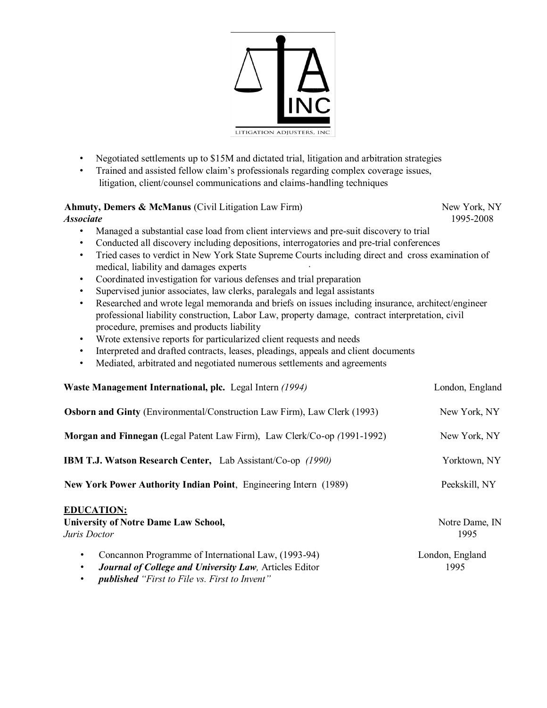

- Negotiated settlements up to \$15M and dictated trial, litigation and arbitration strategies
- Trained and assisted fellow claim's professionals regarding complex coverage issues, litigation, client/counsel communications and claims-handling techniques

#### **Ahmuty, Demers & McManus** (Civil Litigation Law Firm) New York, NY *Associate* 1995-2008

• Managed a substantial case load from client interviews and pre-suit discovery to trial

- Conducted all discovery including depositions, interrogatories and pre-trial conferences
- Tried cases to verdict in New York State Supreme Courts including direct and cross examination of medical, liability and damages experts ·
- Coordinated investigation for various defenses and trial preparation
- Supervised junior associates, law clerks, paralegals and legal assistants
- Researched and wrote legal memoranda and briefs on issues including insurance, architect/engineer professional liability construction, Labor Law, property damage, contract interpretation, civil procedure, premises and products liability
- Wrote extensive reports for particularized client requests and needs
- Interpreted and drafted contracts, leases, pleadings, appeals and client documents
- Mediated, arbitrated and negotiated numerous settlements and agreements

| Waste Management International, plc. Legal Intern (1994)                                                                                       | London, England         |
|------------------------------------------------------------------------------------------------------------------------------------------------|-------------------------|
| <b>Osborn and Ginty</b> (Environmental/Construction Law Firm), Law Clerk (1993)                                                                | New York, NY            |
| Morgan and Finnegan (Legal Patent Law Firm), Law Clerk/Co-op (1991-1992)                                                                       | New York, NY            |
| <b>IBM T.J. Watson Research Center, Lab Assistant/Co-op (1990)</b>                                                                             | Yorktown, NY            |
| New York Power Authority Indian Point, Engineering Intern (1989)                                                                               | Peekskill, NY           |
| <b>EDUCATION:</b><br><b>University of Notre Dame Law School,</b><br>Juris Doctor                                                               | Notre Dame, IN<br>1995  |
| Concannon Programme of International Law, (1993-94)<br>$\bullet$<br><b>Journal of College and University Law, Articles Editor</b><br>$\bullet$ | London, England<br>1995 |

• *published "First to File vs. First to Invent"*